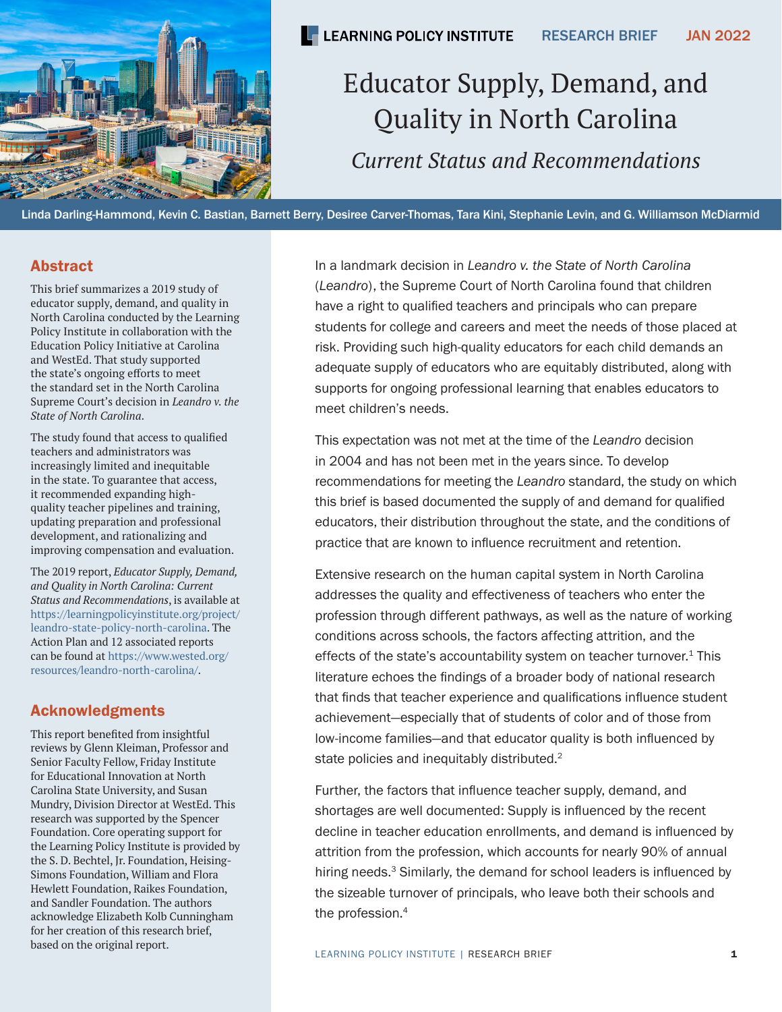<span id="page-0-0"></span>

# Educator Supply, Demand, and Quality in North Carolina *Current Status and Recommendations*

Linda Darling-Hammond, Kevin C. Bastian, Barnett Berry, Desiree Carver-Thomas, Tara Kini, Stephanie Levin, and G. Williamson McDiarmid

### Abstract

This brief summarizes a 2019 study of educator supply, demand, and quality in North Carolina conducted by the Learning Policy Institute in collaboration with the Education Policy Initiative at Carolina and WestEd. That study supported the state's ongoing efforts to meet the standard set in the North Carolina Supreme Court's decision in *Leandro v. the State of North Carolina*.

The study found that access to qualified teachers and administrators was increasingly limited and inequitable in the state. To guarantee that access, it recommended expanding highquality teacher pipelines and training, updating preparation and professional development, and rationalizing and improving compensation and evaluation.

The 2019 report, *Educator Supply, Demand, and Quality in North Carolina: Current Status and Recommendations*, is available at [https://learningpolicyinstitute.org/project/](https://learningpolicyinstitute.org/project/leandro-state-policy-north-carolina) [leandro-state-policy-north-carolina.](https://learningpolicyinstitute.org/project/leandro-state-policy-north-carolina) The Action Plan and 12 associated reports can be found at [https://www.wested.org/](https://www.wested.org/resources/leandro-north-carolina/) [resources/leandro-north-carolina/](https://www.wested.org/resources/leandro-north-carolina/).

### Acknowledgments

This report benefited from insightful reviews by Glenn Kleiman, Professor and Senior Faculty Fellow, Friday Institute for Educational Innovation at North Carolina State University, and Susan Mundry, Division Director at WestEd. This research was supported by the Spencer Foundation. Core operating support for the Learning Policy Institute is provided by the S. D. Bechtel, Jr. Foundation, Heising-Simons Foundation, William and Flora Hewlett Foundation, Raikes Foundation, and Sandler Foundation. The authors acknowledge Elizabeth Kolb Cunningham for her creation of this research brief, based on the original report.

In a landmark decision in *Leandro v. the State of North Carolina* (*Leandro*), the Supreme Court of North Carolina found that children have a right to qualified teachers and principals who can prepare students for college and careers and meet the needs of those placed at risk. Providing such high-quality educators for each child demands an adequate supply of educators who are equitably distributed, along with supports for ongoing professional learning that enables educators to meet children's needs.

This expectation was not met at the time of the *Leandro* decision in 2004 and has not been met in the years since. To develop recommendations for meeting the *Leandro* standard, the study on which this brief is based documented the supply of and demand for qualified educators, their distribution throughout the state, and the conditions of practice that are known to influence recruitment and retention.

Extensive research on the human capital system in North Carolina addresses the quality and effectiveness of teachers who enter the profession through different pathways, as well as the nature of working conditions across schools, the factors affecting attrition, and the effects of the state's accountability system on teacher turnover. $1$  This literature echoes the findings of a broader body of national research that finds that teacher experience and qualifications influence student achievement—especially that of students of color and of those from low-income families—and that educator quality is both influenced by state policies and inequitably distributed.<sup>[2](#page-13-0)</sup>

Further, the factors that influence teacher supply, demand, and shortages are well documented: Supply is influenced by the recent decline in teacher education enrollments, and demand is influenced by attrition from the profession, which accounts for nearly 90% of annual hiring needs.<sup>[3](#page-13-0)</sup> Similarly, the demand for school leaders is influenced by the sizeable turnover of principals, who leave both their schools and the profession.<sup>[4](#page-13-0)</sup>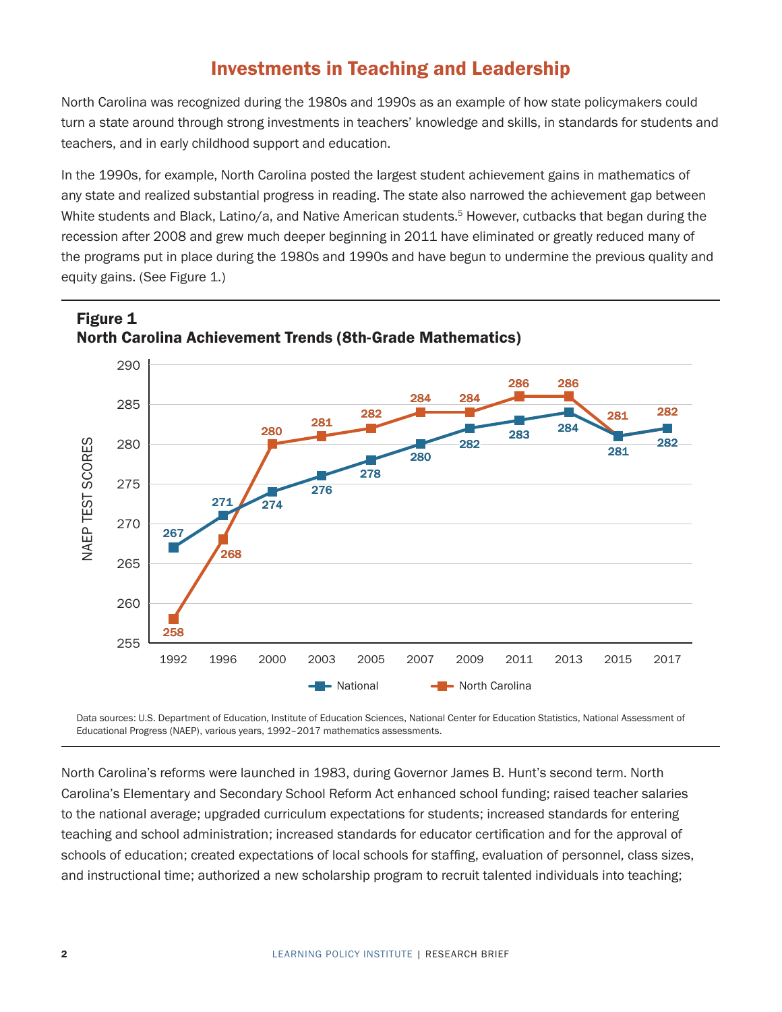### Investments in Teaching and Leadership

<span id="page-1-1"></span>North Carolina was recognized during the 1980s and 1990s as an example of how state policymakers could turn a state around through strong investments in teachers' knowledge and skills, in standards for students and teachers, and in early childhood support and education.

In the 1990s, for example, North Carolina posted the largest student achievement gains in mathematics of any state and realized substantial progress in reading. The state also narrowed the achievement gap between White students and Black, Latino/a, and Native American students.<sup>5</sup> However, cutbacks that began during the recession after 2008 and grew much deeper beginning in 2011 have eliminated or greatly reduced many of the programs put in place during the 1980s and 1990s and have begun to undermine the previous quality and equity gains. (See [Figure 1.](#page-1-0))



#### <span id="page-1-0"></span>Figure 1 North Carolina Achievement Trends (8th-Grade Mathematics) Figure 1<br>North Carolina Achievement Trends (8th-Grade Mathematics)

Data sources: U.S. Department of Education, Institute of Education Sciences, National Center for Education Statistics, National Assessment of Educational Progress (NAEP), various years, 1992–2017 mathematics assessments.

North Carolina's reforms were launched in 1983, during Governor James B. Hunt's second term. North Carolina's Elementary and Secondary School Reform Act enhanced school funding; raised teacher salaries to the national average; upgraded curriculum expectations for students; increased standards for entering teaching and school administration; increased standards for educator certification and for the approval of schools of education; created expectations of local schools for staffing, evaluation of personnel, class sizes, and instructional time; authorized a new scholarship program to recruit talented individuals into teaching;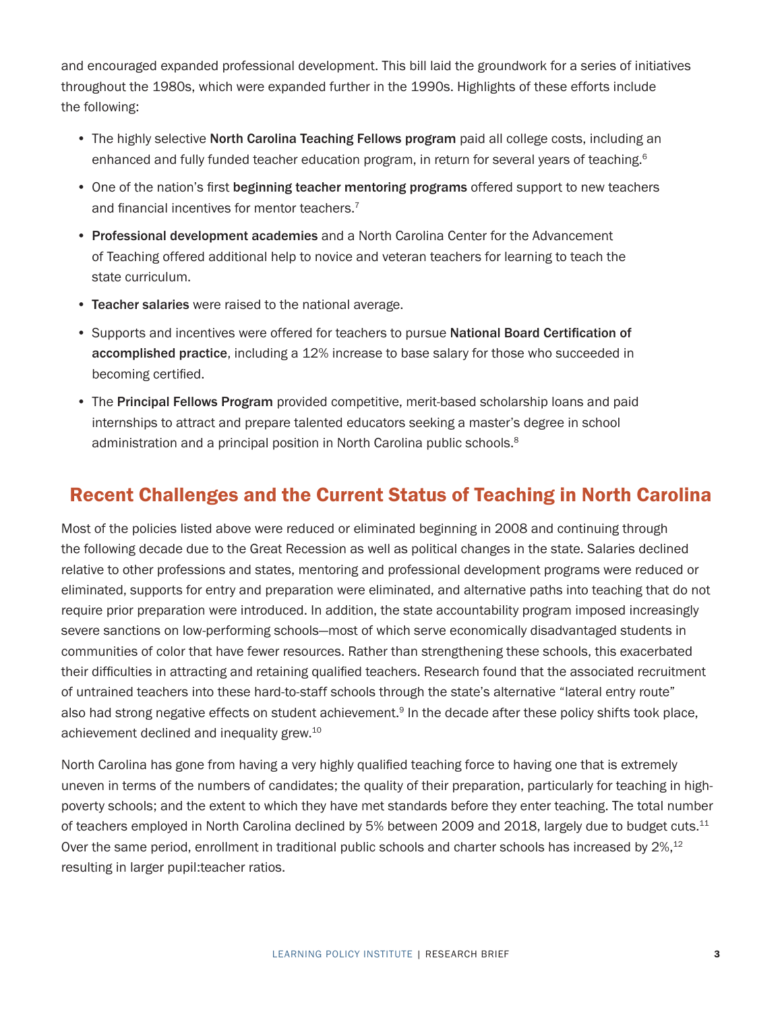<span id="page-2-0"></span>and encouraged expanded professional development. This bill laid the groundwork for a series of initiatives throughout the 1980s, which were expanded further in the 1990s. Highlights of these efforts include the following:

- The highly selective North Carolina Teaching Fellows program paid all college costs, including an enhanced and fully funded teacher education program, in return for several years of teaching.<sup>6</sup>
- One of the nation's first beginning teacher mentoring programs offered support to new teachers and financial incentives for mentor teachers.<sup>[7](#page-13-0)</sup>
- Professional development academies and a North Carolina Center for the Advancement of Teaching offered additional help to novice and veteran teachers for learning to teach the state curriculum.
- Teacher salaries were raised to the national average.
- Supports and incentives were offered for teachers to pursue National Board Certification of accomplished practice, including a 12% increase to base salary for those who succeeded in becoming certified.
- The Principal Fellows Program provided competitive, merit-based scholarship loans and paid internships to attract and prepare talented educators seeking a master's degree in school administration and a principal position in North Carolina public schools.<sup>8</sup>

### Recent Challenges and the Current Status of Teaching in North Carolina

Most of the policies listed above were reduced or eliminated beginning in 2008 and continuing through the following decade due to the Great Recession as well as political changes in the state. Salaries declined relative to other professions and states, mentoring and professional development programs were reduced or eliminated, supports for entry and preparation were eliminated, and alternative paths into teaching that do not require prior preparation were introduced. In addition, the state accountability program imposed increasingly severe sanctions on low-performing schools—most of which serve economically disadvantaged students in communities of color that have fewer resources. Rather than strengthening these schools, this exacerbated their difficulties in attracting and retaining qualified teachers. Research found that the associated recruitment of untrained teachers into these hard-to-staff schools through the state's alternative "lateral entry route" also had strong negative effects on student achievement.<sup>[9](#page-13-0)</sup> In the decade after these policy shifts took place, achievement declined and inequality grew.<sup>10</sup>

North Carolina has gone from having a very highly qualified teaching force to having one that is extremely uneven in terms of the numbers of candidates; the quality of their preparation, particularly for teaching in highpoverty schools; and the extent to which they have met standards before they enter teaching. The total number of teachers employed in North Carolina declined by 5% between 2009 and 2018, largely due to budget cuts.<sup>[11](#page-13-0)</sup> Over the same period, enrollment in traditional public schools and charter schools has increased by 2%,<sup>12</sup> resulting in larger pupil:teacher ratios.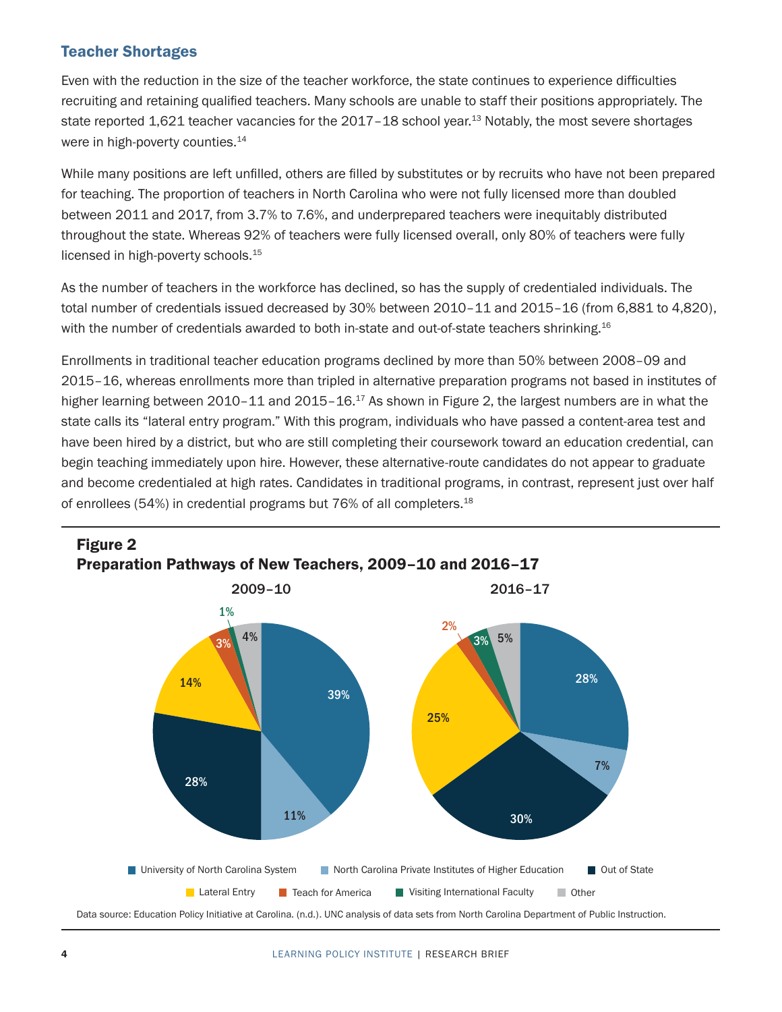### <span id="page-3-1"></span>Teacher Shortages

Even with the reduction in the size of the teacher workforce, the state continues to experience difficulties recruiting and retaining qualified teachers. Many schools are unable to staff their positions appropriately. The state reported 1,621 teacher vacancies for the 2017-18 school year.<sup>13</sup> Notably, the most severe shortages were in high-poverty counties.<sup>[14](#page-14-0)</sup>

While many positions are left unfilled, others are filled by substitutes or by recruits who have not been prepared for teaching. The proportion of teachers in North Carolina who were not fully licensed more than doubled between 2011 and 2017, from 3.7% to 7.6%, and underprepared teachers were inequitably distributed throughout the state. Whereas 92% of teachers were fully licensed overall, only 80% of teachers were fully licensed in high-poverty schools.<sup>[15](#page-14-0)</sup>

As the number of teachers in the workforce has declined, so has the supply of credentialed individuals. The total number of credentials issued decreased by 30% between 2010–11 and 2015–16 (from 6,881 to 4,820), with the number of credentials awarded to both in-state and out-of-state teachers shrinking.<sup>16</sup>

Enrollments in traditional teacher education programs declined by more than 50% between 2008–09 and 2015–16, whereas enrollments more than tripled in alternative preparation programs not based in institutes of higher learning between 2010–11 and 2015–16.<sup>[17](#page-14-0)</sup> As shown in [Figure 2](#page-3-0), the largest numbers are in what the state calls its "lateral entry program." With this program, individuals who have passed a content-area test and have been hired by a district, but who are still completing their coursework toward an education credential, can begin teaching immediately upon hire. However, these alternative-route candidates do not appear to graduate and become credentialed at high rates. Candidates in traditional programs, in contrast, represent just over half of enrollees (54%) in credential programs but 76% of all completers.<sup>18</sup>



## <span id="page-3-0"></span>Figure 2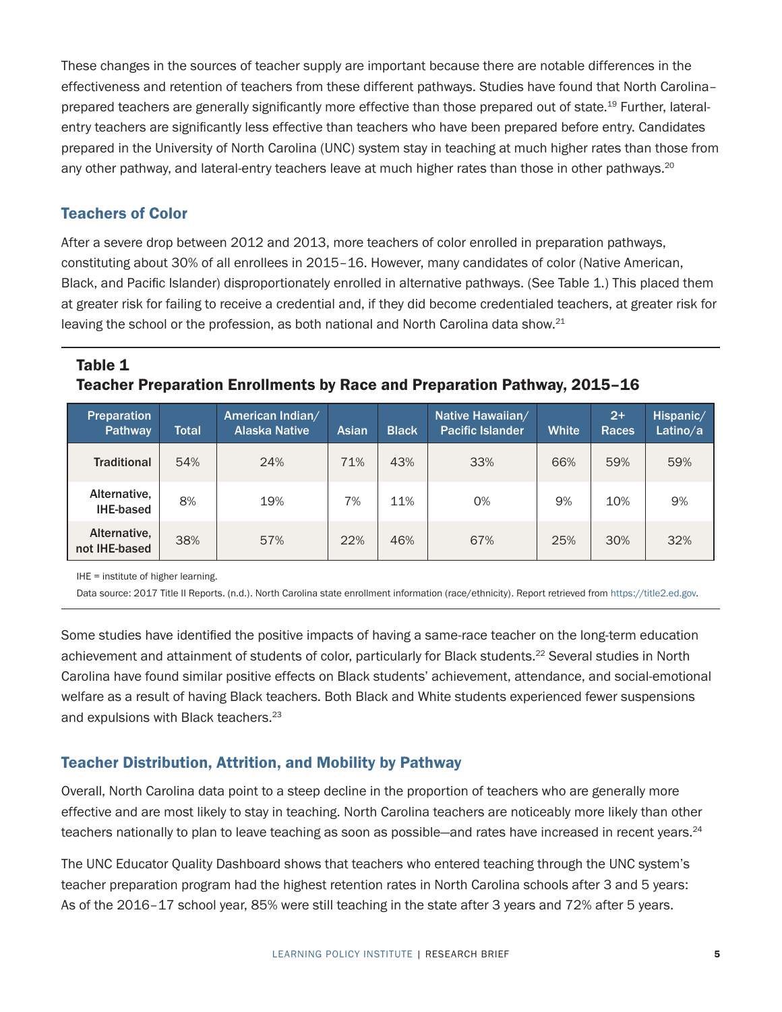<span id="page-4-1"></span>These changes in the sources of teacher supply are important because there are notable differences in the effectiveness and retention of teachers from these different pathways. Studies have found that North Carolina– prepared teachers are generally significantly more effective than those prepared out of state.<sup>[19](#page-14-0)</sup> Further, lateralentry teachers are significantly less effective than teachers who have been prepared before entry. Candidates prepared in the University of North Carolina (UNC) system stay in teaching at much higher rates than those from any other pathway, and lateral-entry teachers leave at much higher rates than those in other pathways.<sup>[20](#page-14-0)</sup>

#### Teachers of Color

After a severe drop between 2012 and 2013, more teachers of color enrolled in preparation pathways, constituting about 30% of all enrollees in 2015–16. However, many candidates of color (Native American, Black, and Pacific Islander) disproportionately enrolled in alternative pathways. (See [Table 1.](#page-4-0)) This placed them at greater risk for failing to receive a credential and, if they did become credentialed teachers, at greater risk for leaving the school or the profession, as both national and North Carolina data show. $21$ 

#### <span id="page-4-0"></span>Table 1 Teacher Preparation Enrollments by Race and Preparation Pathway, 2015–16

| <b>Preparation</b><br>Pathway    | Total | American Indian/<br><b>Alaska Native</b> | Asian | <b>Black</b> | Native Hawaiian/<br><b>Pacific Islander</b> | <b>White</b> | $2+$<br><b>Races</b> | Hispanic/<br>Latino/a |
|----------------------------------|-------|------------------------------------------|-------|--------------|---------------------------------------------|--------------|----------------------|-----------------------|
| <b>Traditional</b>               | 54%   | 24%                                      | 71%   | 43%          | 33%                                         | 66%          | 59%                  | 59%                   |
| Alternative,<br><b>IHE-based</b> | 8%    | 19%                                      | 7%    | 11%          | 0%                                          | 9%           | 10%                  | 9%                    |
| Alternative,<br>not IHE-based    | 38%   | 57%                                      | 22%   | 46%          | 67%                                         | 25%          | 30%                  | 32%                   |

IHE = institute of higher learning.

Data source: 2017 Title II Reports. (n.d.). North Carolina state enrollment information (race/ethnicity). Report retrieved from<https://title2.ed.gov>.

Some studies have identified the positive impacts of having a same-race teacher on the long-term education achievement and attainment of students of color, particularly for Black students.<sup>[22](#page-14-0)</sup> Several studies in North Carolina have found similar positive effects on Black students' achievement, attendance, and social-emotional welfare as a result of having Black teachers. Both Black and White students experienced fewer suspensions and expulsions with Black teachers.<sup>23</sup>

#### Teacher Distribution, Attrition, and Mobility by Pathway

Overall, North Carolina data point to a steep decline in the proportion of teachers who are generally more effective and are most likely to stay in teaching. North Carolina teachers are noticeably more likely than other teachers nationally to plan to leave teaching as soon as possible—and rates have increased in recent years.<sup>[24](#page-14-0)</sup>

The UNC Educator Quality Dashboard shows that teachers who entered teaching through the UNC system's teacher preparation program had the highest retention rates in North Carolina schools after 3 and 5 years: As of the 2016–17 school year, 85% were still teaching in the state after 3 years and 72% after 5 years.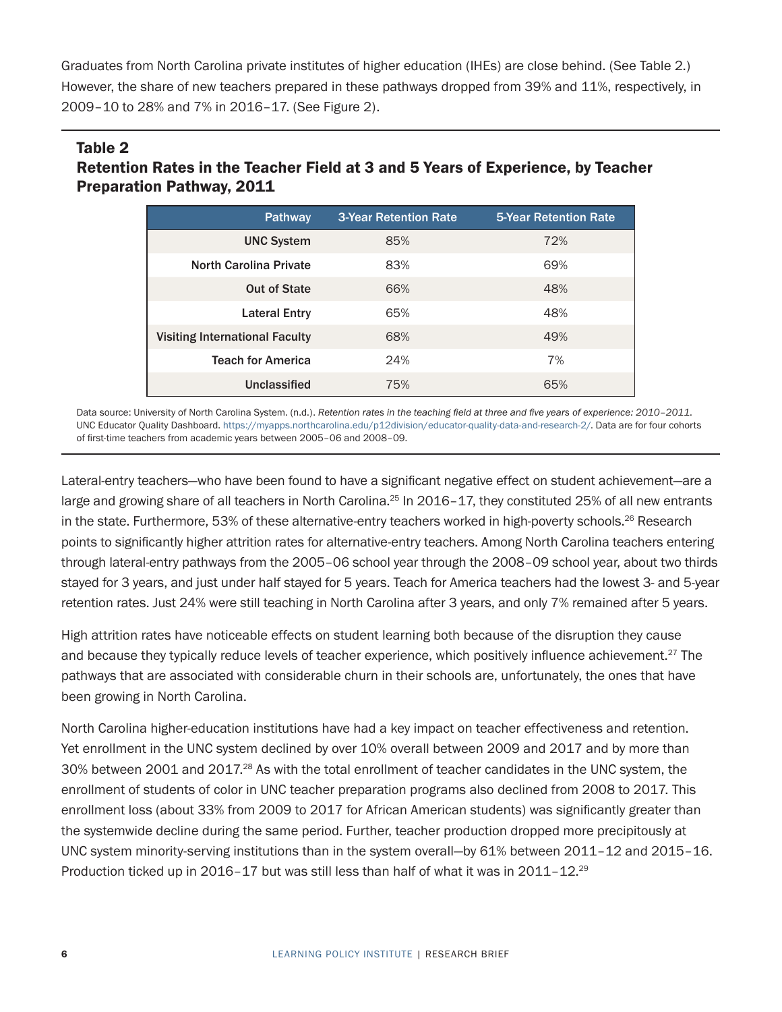<span id="page-5-1"></span>Graduates from North Carolina private institutes of higher education (IHEs) are close behind. (See [Table 2.](#page-5-0)) However, the share of new teachers prepared in these pathways dropped from 39% and 11%, respectively, in 2009–10 to 28% and 7% in 2016–17. (See Figure 2).

### <span id="page-5-0"></span>Table 2 Retention Rates in the Teacher Field at 3 and 5 Years of Experience, by Teacher Preparation Pathway, 2011

| <b>Pathway</b>                        | <b>3-Year Retention Rate</b> | <b>5-Year Retention Rate</b> |
|---------------------------------------|------------------------------|------------------------------|
| <b>UNC System</b>                     | 85%                          | 72%                          |
| <b>North Carolina Private</b>         | 83%                          | 69%                          |
| Out of State                          | 66%                          | 48%                          |
| <b>Lateral Entry</b>                  | 65%                          | 48%                          |
| <b>Visiting International Faculty</b> | 68%                          | 49%                          |
| <b>Teach for America</b>              | 24%                          | 7%                           |
| Unclassified                          | 75%                          | 65%                          |

Data source: University of North Carolina System. (n.d.). *Retention rates in the teaching field at three and five years of experience: 2010–2011*. UNC Educator Quality Dashboard. [https://myapps.northcarolina.edu/p12division/educator-quality-data-and-research-2/.](https://myapps.northcarolina.edu/p12division/educator-quality-data-and-research-2/) Data are for four cohorts of first-time teachers from academic years between 2005–06 and 2008–09.

Lateral-entry teachers—who have been found to have a significant negative effect on student achievement—are a large and growing share of all teachers in North Carolina.<sup>25</sup> In 2016-17, they constituted 25% of all new entrants in the state. Furthermore, 53% of these alternative-entry teachers worked in high-poverty schools.<sup>26</sup> Research points to significantly higher attrition rates for alternative-entry teachers. Among North Carolina teachers entering through lateral-entry pathways from the 2005–06 school year through the 2008–09 school year, about two thirds stayed for 3 years, and just under half stayed for 5 years. Teach for America teachers had the lowest 3- and 5-year retention rates. Just 24% were still teaching in North Carolina after 3 years, and only 7% remained after 5 years.

High attrition rates have noticeable effects on student learning both because of the disruption they cause and because they typically reduce levels of teacher experience, which positively influence achievement.<sup>27</sup> The pathways that are associated with considerable churn in their schools are, unfortunately, the ones that have been growing in North Carolina.

North Carolina higher-education institutions have had a key impact on teacher effectiveness and retention. Yet enrollment in the UNC system declined by over 10% overall between 2009 and 2017 and by more than 30% between 2001 and 2017[.28](#page-14-0) As with the total enrollment of teacher candidates in the UNC system, the enrollment of students of color in UNC teacher preparation programs also declined from 2008 to 2017. This enrollment loss (about 33% from 2009 to 2017 for African American students) was significantly greater than the systemwide decline during the same period. Further, teacher production dropped more precipitously at UNC system minority-serving institutions than in the system overall—by 61% between 2011–12 and 2015–16. Production ticked up in 2016-17 but was still less than half of what it was in 2011-12.<sup>29</sup>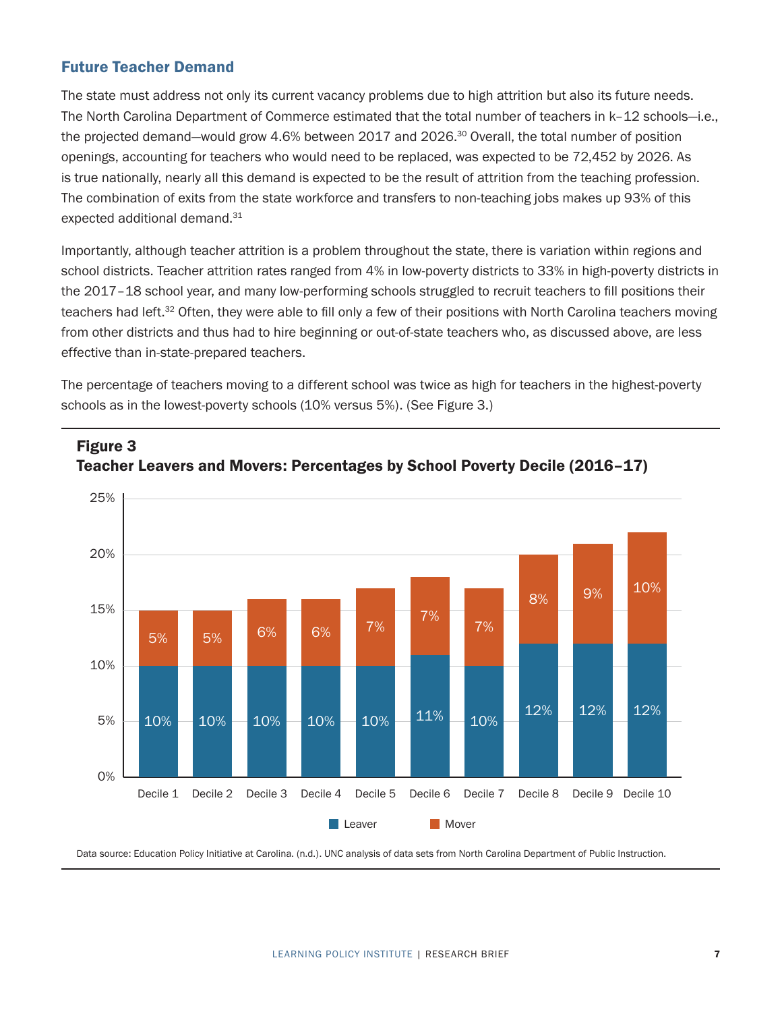### <span id="page-6-1"></span>Future Teacher Demand

<span id="page-6-0"></span>Figure 3

Public Instruction.

The state must address not only its current vacancy problems due to high attrition but also its future needs. The North Carolina Department of Commerce estimated that the total number of teachers in k–12 schools—i.e., the projected demand—would grow 4.6% between 2017 and 2026.<sup>30</sup> Overall, the total number of position openings, accounting for teachers who would need to be replaced, was expected to be 72,452 by 2026. As is true nationally, nearly all this demand is expected to be the result of attrition from the teaching profession. The combination of exits from the state workforce and transfers to non-teaching jobs makes up 93% of this expected additional demand.<sup>31</sup>

Importantly, although teacher attrition is a problem throughout the state, there is variation within regions and school districts. Teacher attrition rates ranged from 4% in low-poverty districts to 33% in high-poverty districts in the 2017–18 school year, and many low-performing schools struggled to recruit teachers to fill positions their teachers had left.<sup>32</sup> Often, they were able to fill only a few of their positions with North Carolina teachers moving from other districts and thus had to hire beginning or out-of-state teachers who, as discussed above, are less effective than in-state-prepared teachers.

The percentage of teachers moving to a different school was twice as high for teachers in the highest-poverty schools as in the lowest-poverty schools (10% versus 5%). (See [Figure 3](#page-6-0).)



## Teacher Leavers and Movers: Percentages by School Poverty Decile (2016–17) *(2016–17)*

Teacher Leavers and Movement and Movement and Movement and Movement and Movement and Movement and School Pover<br>The contract Decision Decision Decision Decision Decision Decision Decision Decision Decision Decision Decisio

Data source: Education Policy Initiative at Carolina. (n.d.). UNC analysis of data sets from North Carolina Department of Public Instruction.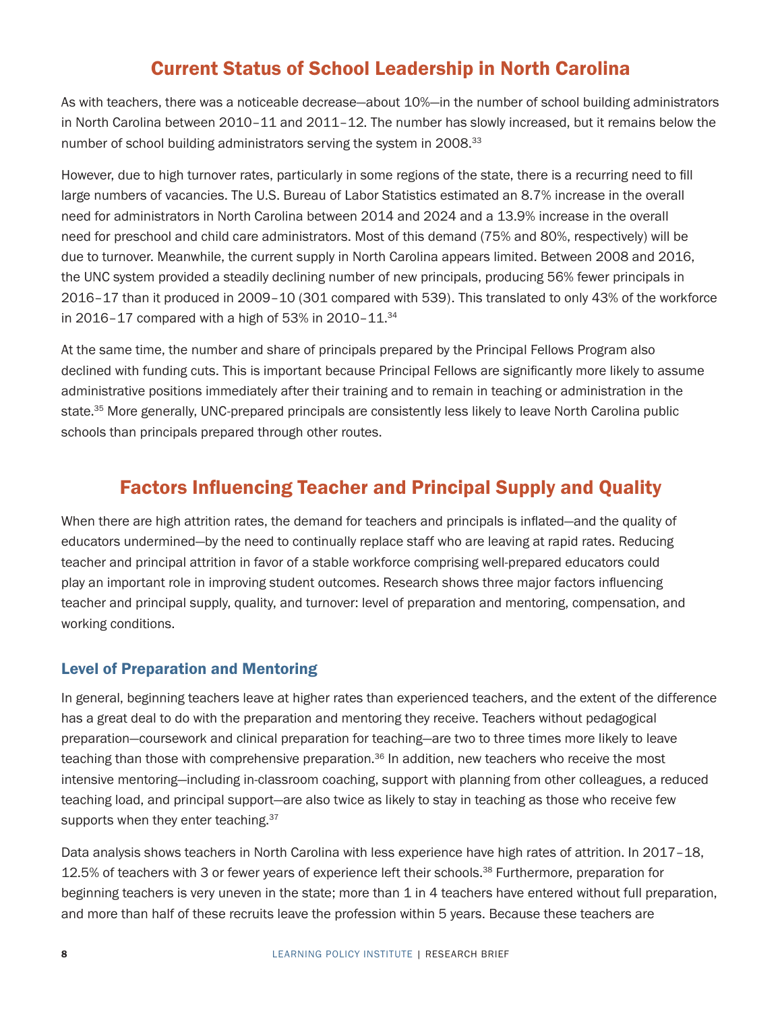### Current Status of School Leadership in North Carolina

<span id="page-7-0"></span>As with teachers, there was a noticeable decrease—about 10%—in the number of school building administrators in North Carolina between 2010–11 and 2011–12. The number has slowly increased, but it remains below the number of school building administrators serving the system in 2008.<sup>[33](#page-14-0)</sup>

However, due to high turnover rates, particularly in some regions of the state, there is a recurring need to fill large numbers of vacancies. The U.S. Bureau of Labor Statistics estimated an 8.7% increase in the overall need for administrators in North Carolina between 2014 and 2024 and a 13.9% increase in the overall need for preschool and child care administrators. Most of this demand (75% and 80%, respectively) will be due to turnover. Meanwhile, the current supply in North Carolina appears limited. Between 2008 and 2016, the UNC system provided a steadily declining number of new principals, producing 56% fewer principals in 2016–17 than it produced in 2009–10 (301 compared with 539). This translated to only 43% of the workforce in 2016–17 compared with a high of 53% in 2010–11. $34$ 

At the same time, the number and share of principals prepared by the Principal Fellows Program also declined with funding cuts. This is important because Principal Fellows are significantly more likely to assume administrative positions immediately after their training and to remain in teaching or administration in the state.[35](#page-14-0) More generally, UNC-prepared principals are consistently less likely to leave North Carolina public schools than principals prepared through other routes.

### Factors Influencing Teacher and Principal Supply and Quality

When there are high attrition rates, the demand for teachers and principals is inflated—and the quality of educators undermined—by the need to continually replace staff who are leaving at rapid rates. Reducing teacher and principal attrition in favor of a stable workforce comprising well-prepared educators could play an important role in improving student outcomes. Research shows three major factors influencing teacher and principal supply, quality, and turnover: level of preparation and mentoring, compensation, and working conditions.

### Level of Preparation and Mentoring

In general, beginning teachers leave at higher rates than experienced teachers, and the extent of the difference has a great deal to do with the preparation and mentoring they receive. Teachers without pedagogical preparation—coursework and clinical preparation for teaching—are two to three times more likely to leave teaching than those with comprehensive preparation.<sup>[36](#page-14-0)</sup> In addition, new teachers who receive the most intensive mentoring—including in-classroom coaching, support with planning from other colleagues, a reduced teaching load, and principal support—are also twice as likely to stay in teaching as those who receive few supports when they enter teaching. [37](#page-14-0)

Data analysis shows teachers in North Carolina with less experience have high rates of attrition. In 2017–18, 12.5% of teachers with 3 or fewer years of experience left their schools.<sup>38</sup> Furthermore, preparation for beginning teachers is very uneven in the state; more than 1 in 4 teachers have entered without full preparation, and more than half of these recruits leave the profession within 5 years. Because these teachers are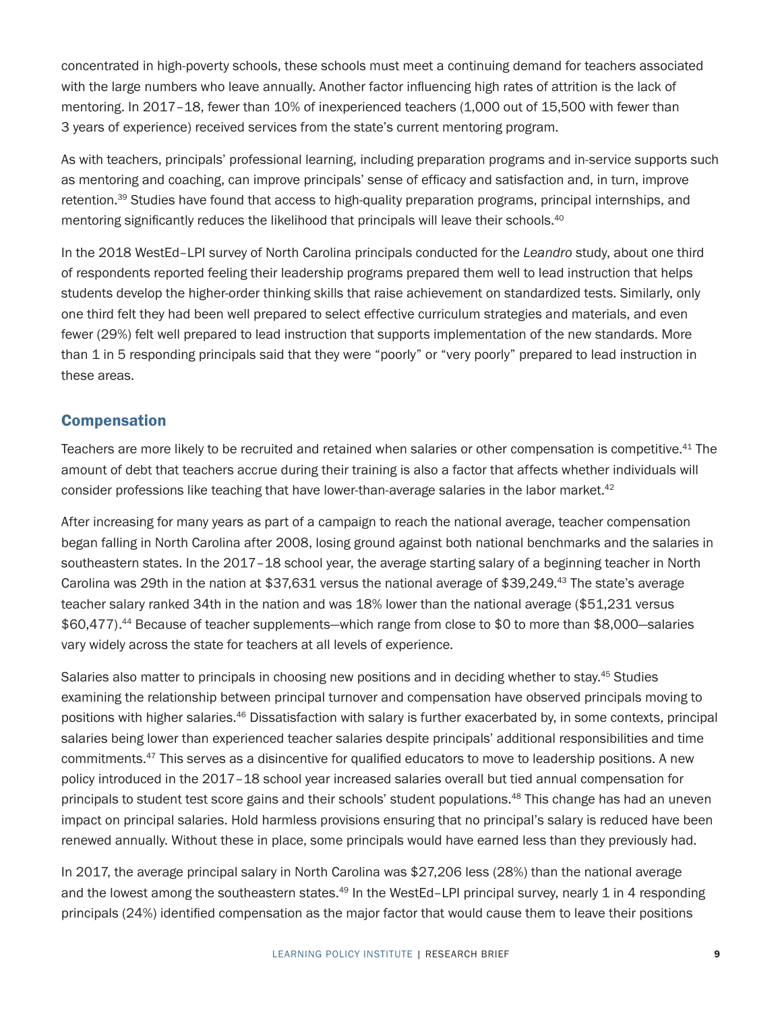<span id="page-8-0"></span>concentrated in high-poverty schools, these schools must meet a continuing demand for teachers associated with the large numbers who leave annually. Another factor influencing high rates of attrition is the lack of mentoring. In 2017–18, fewer than 10% of inexperienced teachers (1,000 out of 15,500 with fewer than 3 years of experience) received services from the state's current mentoring program.

As with teachers, principals' professional learning, including preparation programs and in-service supports such as mentoring and coaching, can improve principals' sense of efficacy and satisfaction and, in turn, improve retention.<sup>39</sup> Studies have found that access to high-quality preparation programs, principal internships, and mentoring significantly reduces the likelihood that principals will leave their schools.<sup>40</sup>

In the 2018 WestEd–LPI survey of North Carolina principals conducted for the *Leandro* study, about one third of respondents reported feeling their leadership programs prepared them well to lead instruction that helps students develop the higher-order thinking skills that raise achievement on standardized tests. Similarly, only one third felt they had been well prepared to select effective curriculum strategies and materials, and even fewer (29%) felt well prepared to lead instruction that supports implementation of the new standards. More than 1 in 5 responding principals said that they were "poorly" or "very poorly" prepared to lead instruction in these areas.

### Compensation

Teachers are more likely to be recruited and retained when salaries or other compensation is competitive.<sup>[41](#page-15-0)</sup> The amount of debt that teachers accrue during their training is also a factor that affects whether individuals will consider professions like teaching that have lower-than-average salaries in the labor market. $42$ 

After increasing for many years as part of a campaign to reach the national average, teacher compensation began falling in North Carolina after 2008, losing ground against both national benchmarks and the salaries in southeastern states. In the 2017–18 school year, the average starting salary of a beginning teacher in North Carolina was 29th in the nation at \$37,631 versus the national average of \$39,249[.43](#page-15-0) The state's average teacher salary ranked 34th in the nation and was 18% lower than the national average (\$51,231 versus \$60,477).[44](#page-15-0) Because of teacher supplements—which range from close to \$0 to more than \$8,000—salaries vary widely across the state for teachers at all levels of experience.

Salaries also matter to principals in choosing new positions and in deciding whether to stay.<sup>[45](#page-15-0)</sup> Studies examining the relationship between principal turnover and compensation have observed principals moving to positions with higher salaries[.46](#page-15-0) Dissatisfaction with salary is further exacerbated by, in some contexts, principal salaries being lower than experienced teacher salaries despite principals' additional responsibilities and time commitments.[47](#page-15-0) This serves as a disincentive for qualified educators to move to leadership positions. A new policy introduced in the 2017–18 school year increased salaries overall but tied annual compensation for principals to student test score gains and their schools' student populations.[48](#page-15-0) This change has had an uneven impact on principal salaries. Hold harmless provisions ensuring that no principal's salary is reduced have been renewed annually. Without these in place, some principals would have earned less than they previously had.

In 2017, the average principal salary in North Carolina was \$27,206 less (28%) than the national average and the lowest among the southeastern states.<sup>[49](#page-15-0)</sup> In the WestEd-LPI principal survey, nearly 1 in 4 responding principals (24%) identified compensation as the major factor that would cause them to leave their positions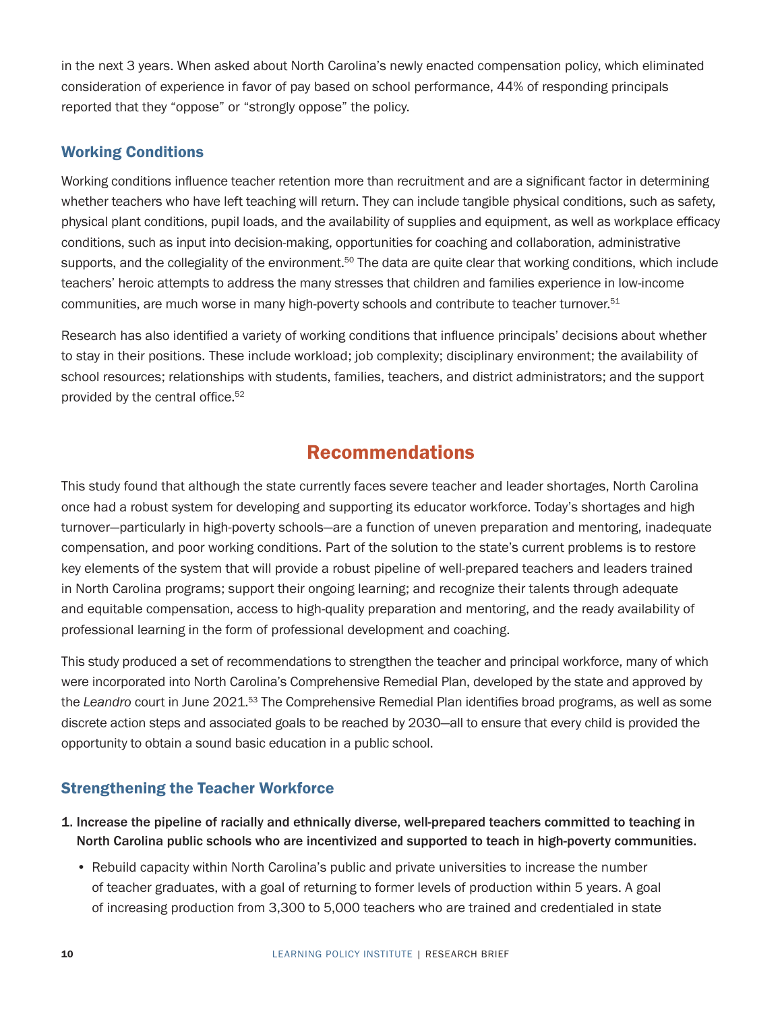<span id="page-9-0"></span>in the next 3 years. When asked about North Carolina's newly enacted compensation policy, which eliminated consideration of experience in favor of pay based on school performance, 44% of responding principals reported that they "oppose" or "strongly oppose" the policy.

### Working Conditions

Working conditions influence teacher retention more than recruitment and are a significant factor in determining whether teachers who have left teaching will return. They can include tangible physical conditions, such as safety, physical plant conditions, pupil loads, and the availability of supplies and equipment, as well as workplace efficacy conditions, such as input into decision-making, opportunities for coaching and collaboration, administrative supports, and the collegiality of the environment.<sup>[50](#page-15-0)</sup> The data are quite clear that working conditions, which include teachers' heroic attempts to address the many stresses that children and families experience in low-income communities, are much worse in many high-poverty schools and contribute to teacher turnover.<sup>51</sup>

Research has also identified a variety of working conditions that influence principals' decisions about whether to stay in their positions. These include workload; job complexity; disciplinary environment; the availability of school resources; relationships with students, families, teachers, and district administrators; and the support provided by the central office.<sup>[52](#page-15-0)</sup>

### Recommendations

This study found that although the state currently faces severe teacher and leader shortages, North Carolina once had a robust system for developing and supporting its educator workforce. Today's shortages and high turnover—particularly in high-poverty schools—are a function of uneven preparation and mentoring, inadequate compensation, and poor working conditions. Part of the solution to the state's current problems is to restore key elements of the system that will provide a robust pipeline of well-prepared teachers and leaders trained in North Carolina programs; support their ongoing learning; and recognize their talents through adequate and equitable compensation, access to high-quality preparation and mentoring, and the ready availability of professional learning in the form of professional development and coaching.

This study produced a set of recommendations to strengthen the teacher and principal workforce, many of which were incorporated into North Carolina's Comprehensive Remedial Plan, developed by the state and approved by the Leandro court in June 2021.<sup>53</sup> The Comprehensive Remedial Plan identifies broad programs, as well as some discrete action steps and associated goals to be reached by 2030—all to ensure that every child is provided the opportunity to obtain a sound basic education in a public school.

### Strengthening the Teacher Workforce

- 1. Increase the pipeline of racially and ethnically diverse, well-prepared teachers committed to teaching in North Carolina public schools who are incentivized and supported to teach in high-poverty communities.
	- Rebuild capacity within North Carolina's public and private universities to increase the number of teacher graduates, with a goal of returning to former levels of production within 5 years. A goal of increasing production from 3,300 to 5,000 teachers who are trained and credentialed in state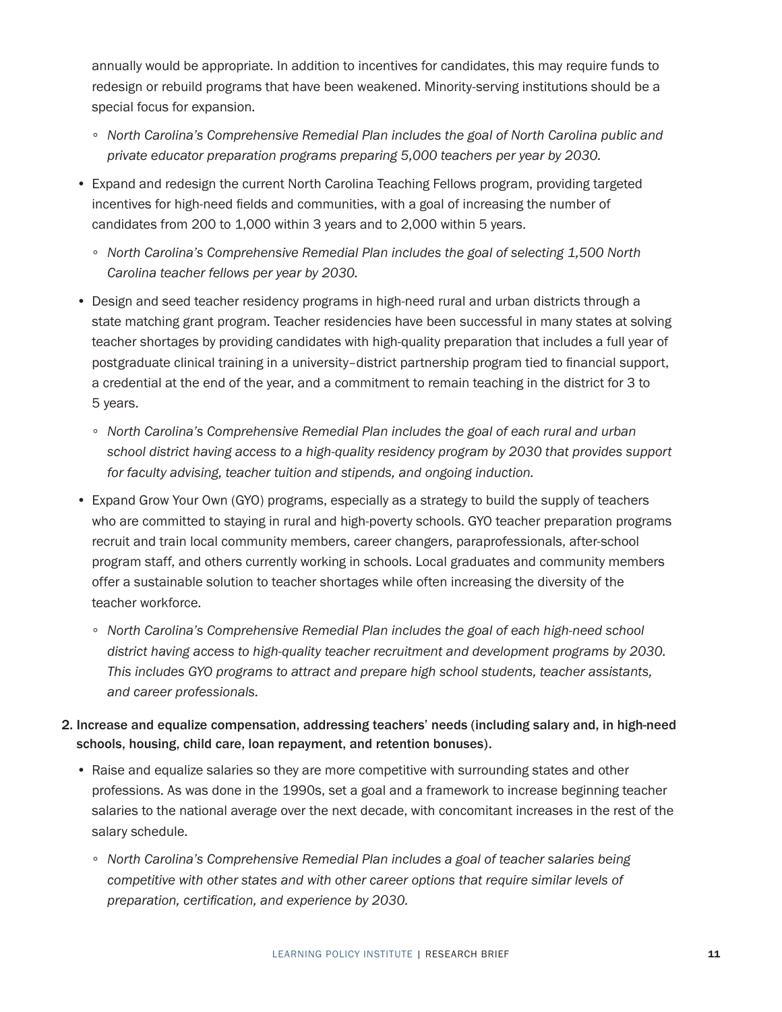annually would be appropriate. In addition to incentives for candidates, this may require funds to redesign or rebuild programs that have been weakened. Minority-serving institutions should be a special focus for expansion.

- ∘ *North Carolina's Comprehensive Remedial Plan includes the goal of North Carolina public and private educator preparation programs preparing 5,000 teachers per year by 2030.*
- Expand and redesign the current North Carolina Teaching Fellows program, providing targeted incentives for high-need fields and communities, with a goal of increasing the number of candidates from 200 to 1,000 within 3 years and to 2,000 within 5 years.
	- ∘ *North Carolina's Comprehensive Remedial Plan includes the goal of selecting 1,500 North Carolina teacher fellows per year by 2030.*
- Design and seed teacher residency programs in high-need rural and urban districts through a state matching grant program. Teacher residencies have been successful in many states at solving teacher shortages by providing candidates with high-quality preparation that includes a full year of postgraduate clinical training in a university–district partnership program tied to financial support, a credential at the end of the year, and a commitment to remain teaching in the district for 3 to 5 years.
	- ∘ *North Carolina's Comprehensive Remedial Plan includes the goal of each rural and urban school district having access to a high-quality residency program by 2030 that provides support for faculty advising, teacher tuition and stipends, and ongoing induction.*
- Expand Grow Your Own (GYO) programs, especially as a strategy to build the supply of teachers who are committed to staying in rural and high-poverty schools. GYO teacher preparation programs recruit and train local community members, career changers, paraprofessionals, after-school program staff, and others currently working in schools. Local graduates and community members offer a sustainable solution to teacher shortages while often increasing the diversity of the teacher workforce.
	- ∘ *North Carolina's Comprehensive Remedial Plan includes the goal of each high-need school district having access to high-quality teacher recruitment and development programs by 2030. This includes GYO programs to attract and prepare high school students, teacher assistants, and career professionals.*
- 2. Increase and equalize compensation, addressing teachers' needs (including salary and, in high-need schools, housing, child care, loan repayment, and retention bonuses).
	- Raise and equalize salaries so they are more competitive with surrounding states and other professions. As was done in the 1990s, set a goal and a framework to increase beginning teacher salaries to the national average over the next decade, with concomitant increases in the rest of the salary schedule.
		- ∘ *North Carolina's Comprehensive Remedial Plan includes a goal of teacher salaries being competitive with other states and with other career options that require similar levels of preparation, certification, and experience by 2030.*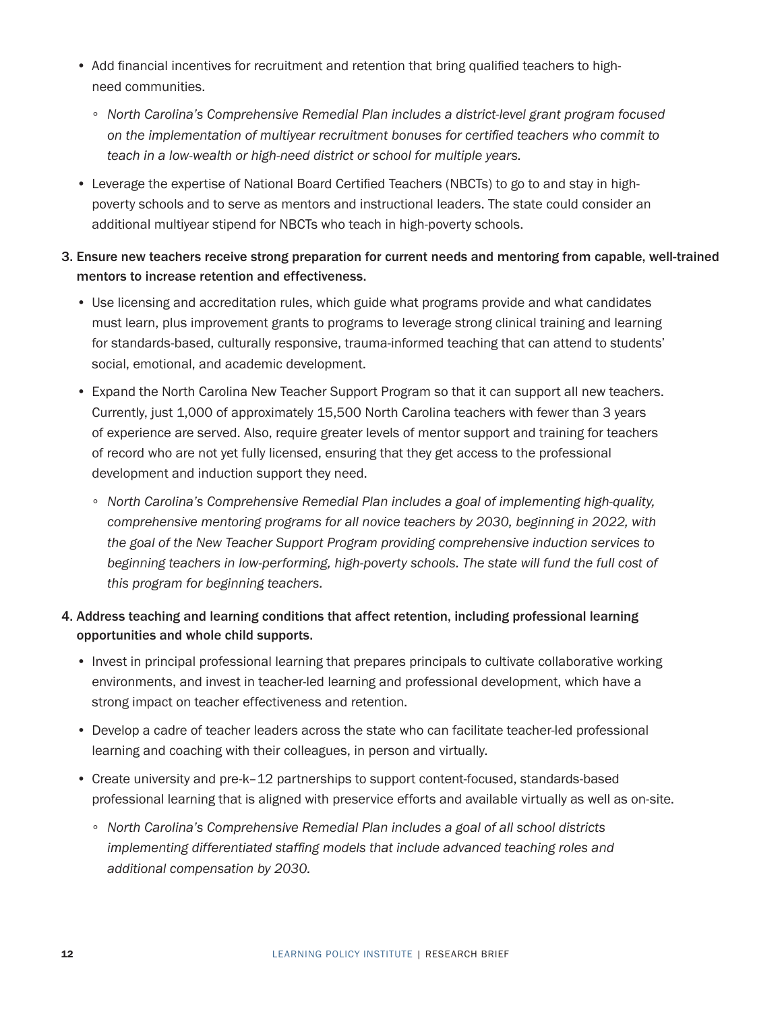- Add financial incentives for recruitment and retention that bring qualified teachers to highneed communities.
	- ∘ *North Carolina's Comprehensive Remedial Plan includes a district-level grant program focused on the implementation of multiyear recruitment bonuses for certified teachers who commit to teach in a low-wealth or high-need district or school for multiple years.*
- Leverage the expertise of National Board Certified Teachers (NBCTs) to go to and stay in highpoverty schools and to serve as mentors and instructional leaders. The state could consider an additional multiyear stipend for NBCTs who teach in high-poverty schools.
- 3. Ensure new teachers receive strong preparation for current needs and mentoring from capable, well-trained mentors to increase retention and effectiveness.
	- Use licensing and accreditation rules, which guide what programs provide and what candidates must learn, plus improvement grants to programs to leverage strong clinical training and learning for standards-based, culturally responsive, trauma-informed teaching that can attend to students' social, emotional, and academic development.
	- Expand the North Carolina New Teacher Support Program so that it can support all new teachers. Currently, just 1,000 of approximately 15,500 North Carolina teachers with fewer than 3 years of experience are served. Also, require greater levels of mentor support and training for teachers of record who are not yet fully licensed, ensuring that they get access to the professional development and induction support they need.
		- ∘ *North Carolina's Comprehensive Remedial Plan includes a goal of implementing high-quality, comprehensive mentoring programs for all novice teachers by 2030, beginning in 2022, with the goal of the New Teacher Support Program providing comprehensive induction services to beginning teachers in low-performing, high-poverty schools. The state will fund the full cost of this program for beginning teachers.*
- 4. Address teaching and learning conditions that affect retention, including professional learning opportunities and whole child supports.
	- Invest in principal professional learning that prepares principals to cultivate collaborative working environments, and invest in teacher-led learning and professional development, which have a strong impact on teacher effectiveness and retention.
	- Develop a cadre of teacher leaders across the state who can facilitate teacher-led professional learning and coaching with their colleagues, in person and virtually.
	- Create university and pre-k–12 partnerships to support content-focused, standards-based professional learning that is aligned with preservice efforts and available virtually as well as on-site.
		- ∘ *North Carolina's Comprehensive Remedial Plan includes a goal of all school districts implementing differentiated staffing models that include advanced teaching roles and additional compensation by 2030.*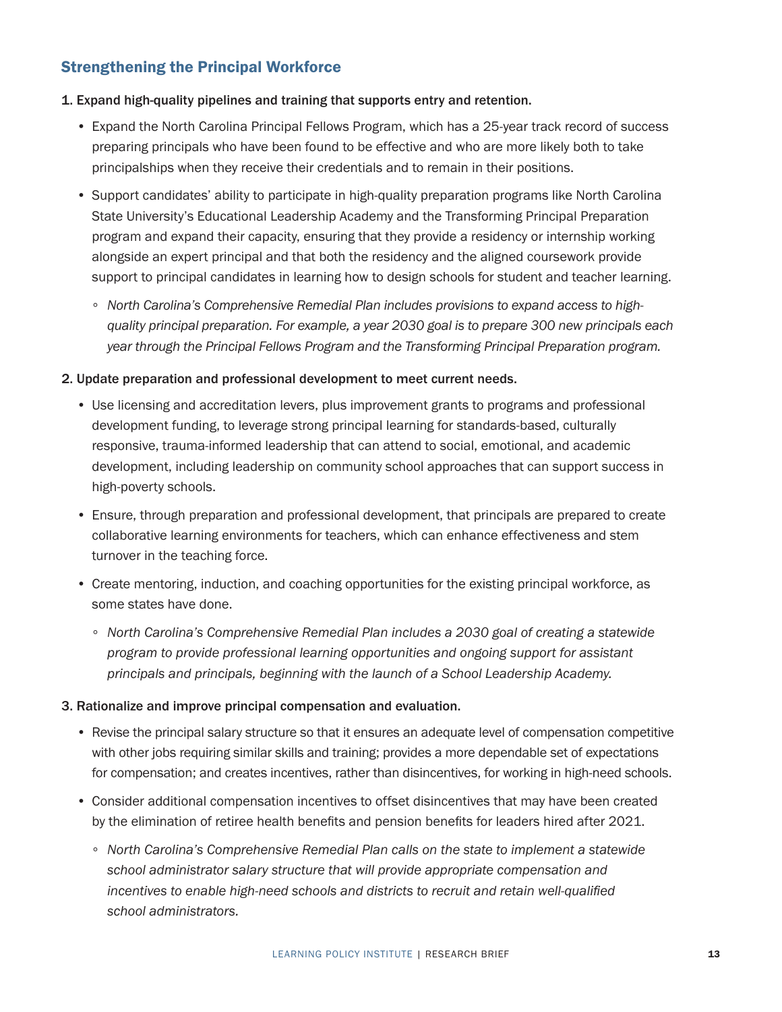### Strengthening the Principal Workforce

#### 1. Expand high-quality pipelines and training that supports entry and retention.

- Expand the North Carolina Principal Fellows Program, which has a 25-year track record of success preparing principals who have been found to be effective and who are more likely both to take principalships when they receive their credentials and to remain in their positions.
- Support candidates' ability to participate in high-quality preparation programs like North Carolina State University's Educational Leadership Academy and the Transforming Principal Preparation program and expand their capacity, ensuring that they provide a residency or internship working alongside an expert principal and that both the residency and the aligned coursework provide support to principal candidates in learning how to design schools for student and teacher learning.
	- ∘ *North Carolina's Comprehensive Remedial Plan includes provisions to expand access to highquality principal preparation. For example, a year 2030 goal is to prepare 300 new principals each year through the Principal Fellows Program and the Transforming Principal Preparation program.*

#### 2. Update preparation and professional development to meet current needs.

- Use licensing and accreditation levers, plus improvement grants to programs and professional development funding, to leverage strong principal learning for standards-based, culturally responsive, trauma-informed leadership that can attend to social, emotional, and academic development, including leadership on community school approaches that can support success in high-poverty schools.
- Ensure, through preparation and professional development, that principals are prepared to create collaborative learning environments for teachers, which can enhance effectiveness and stem turnover in the teaching force.
- Create mentoring, induction, and coaching opportunities for the existing principal workforce, as some states have done.
	- ∘ *North Carolina's Comprehensive Remedial Plan includes a 2030 goal of creating a statewide program to provide professional learning opportunities and ongoing support for assistant principals and principals, beginning with the launch of a School Leadership Academy.*

#### 3. Rationalize and improve principal compensation and evaluation.

- Revise the principal salary structure so that it ensures an adequate level of compensation competitive with other jobs requiring similar skills and training; provides a more dependable set of expectations for compensation; and creates incentives, rather than disincentives, for working in high-need schools.
- Consider additional compensation incentives to offset disincentives that may have been created by the elimination of retiree health benefits and pension benefits for leaders hired after 2021.
	- ∘ *North Carolina's Comprehensive Remedial Plan calls on the state to implement a statewide school administrator salary structure that will provide appropriate compensation and incentives to enable high-need schools and districts to recruit and retain well-qualified school administrators.*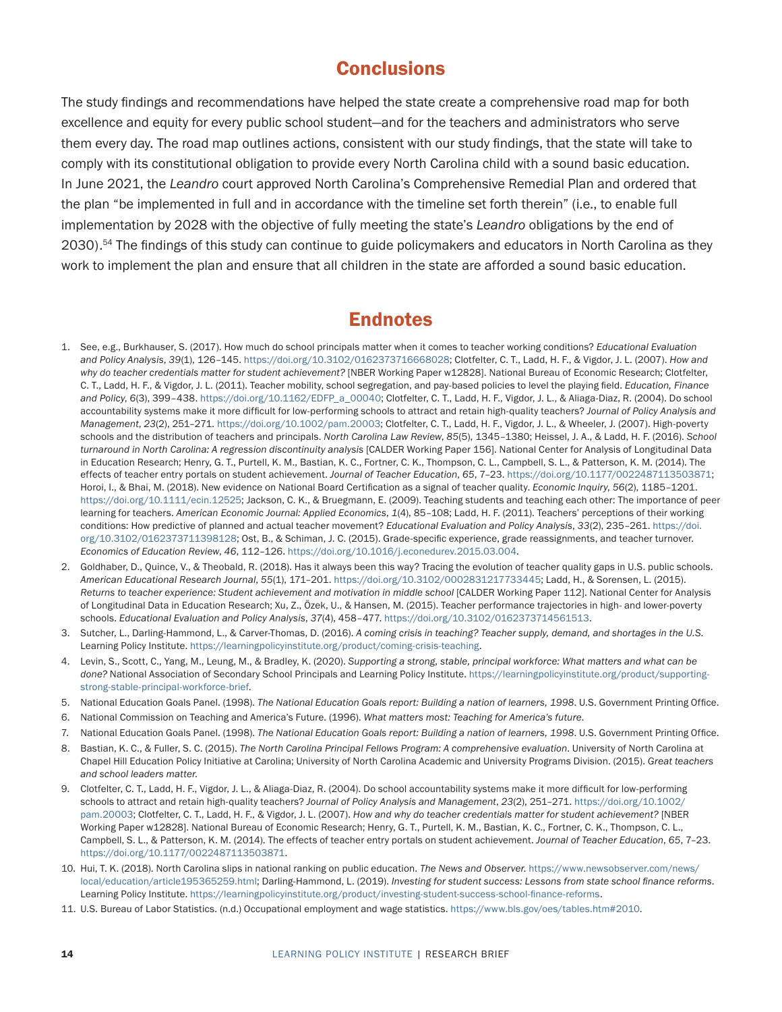### **Conclusions**

<span id="page-13-0"></span>The study findings and recommendations have helped the state create a comprehensive road map for both excellence and equity for every public school student—and for the teachers and administrators who serve them every day. The road map outlines actions, consistent with our study findings, that the state will take to comply with its constitutional obligation to provide every North Carolina child with a sound basic education. In June 2021, the *Leandro* court approved North Carolina's Comprehensive Remedial Plan and ordered that the plan "be implemented in full and in accordance with the timeline set forth therein" (i.e., to enable full implementation by 2028 with the objective of fully meeting the state's *Leandro* obligations by the end of 2030).[54](#page-15-0) The findings of this study can continue to guide policymakers and educators in North Carolina as they work to implement the plan and ensure that all children in the state are afforded a sound basic education.

### **Endnotes**

- [1.](#page-0-0) See, e.g., Burkhauser, S. (2017). How much do school principals matter when it comes to teacher working conditions? *Educational Evaluation and Policy Analysis*, *39*(1), 126–145.<https://doi.org/10.3102/0162373716668028>; Clotfelter, C. T., Ladd, H. F., & Vigdor, J. L. (2007). *How and why do teacher credentials matter for student achievement?* [NBER Working Paper w12828]. National Bureau of Economic Research; Clotfelter, C. T., Ladd, H. F., & Vigdor, J. L. (2011). Teacher mobility, school segregation, and pay-based policies to level the playing field. *Education, Finance and Policy*, *6*(3), 399–438. [https://doi.org/10.1162/EDFP\\_a\\_00040](https://doi.org/10.1162/EDFP_a_00040); Clotfelter, C. T., Ladd, H. F., Vigdor, J. L., & Aliaga-Diaz, R. (2004). Do school accountability systems make it more difficult for low-performing schools to attract and retain high-quality teachers? *Journal of Policy Analysis and Management*, *23*(2), 251–271.<https://doi.org/10.1002/pam.20003>; Clotfelter, C. T., Ladd, H. F., Vigdor, J. L., & Wheeler, J. (2007). High-poverty schools and the distribution of teachers and principals. *North Carolina Law Review*, *85*(5), 1345–1380; Heissel, J. A., & Ladd, H. F. (2016). *School turnaround in North Carolina: A regression discontinuity analysis* [CALDER Working Paper 156]. National Center for Analysis of Longitudinal Data in Education Research; Henry, G. T., Purtell, K. M., Bastian, K. C., Fortner, C. K., Thompson, C. L., Campbell, S. L., & Patterson, K. M. (2014). The effects of teacher entry portals on student achievement. *Journal of Teacher Education*, *65*, 7–23.<https://doi.org/10.1177/0022487113503871>; Horoi, I., & Bhai, M. (2018). New evidence on National Board Certification as a signal of teacher quality. *Economic Inquiry*, *56*(2), 1185–1201. <https://doi.org/10.1111/ecin.12525>; Jackson, C. K., & Bruegmann, E. (2009). Teaching students and teaching each other: The importance of peer learning for teachers. *American Economic Journal: Applied Economics*, *1*(4), 85–108; Ladd, H. F. (2011). Teachers' perceptions of their working conditions: How predictive of planned and actual teacher movement? *Educational Evaluation and Policy Analysis*, *33*(2), 235–261. [https://doi.](https://doi.org/10.3102/0162373711398128) [org/10.3102/0162373711398128](https://doi.org/10.3102/0162373711398128); Ost, B., & Schiman, J. C. (2015). Grade-specific experience, grade reassignments, and teacher turnover. *Economics of Education Review*, *46*, 112–126. [https://doi.org/10.1016/j.econedurev.2015.03.004.](https://doi.org/10.1016/j.econedurev.2015.03.004)
- [2.](#page-0-0) Goldhaber, D., Quince, V., & Theobald, R. (2018). Has it always been this way? Tracing the evolution of teacher quality gaps in U.S. public schools. *American Educational Research Journal*, *55*(1), 171–201. [https://doi.org/10.3102/0002831217733445;](https://doi.org/10.3102/0002831217733445) Ladd, H., & Sorensen, L. (2015). *Returns to teacher experience: Student achievement and motivation in middle school* [CALDER Working Paper 112]. National Center for Analysis of Longitudinal Data in Education Research; Xu, Z., Özek, U., & Hansen, M. (2015). Teacher performance trajectories in high- and lower-poverty schools. *Educational Evaluation and Policy Analysis*, *37*(4), 458–477. [https://doi.org/10.3102/0162373714561513.](https://doi.org/10.3102/0162373714561513)
- [3.](#page-0-0) Sutcher, L., Darling-Hammond, L., & Carver-Thomas, D. (2016). *A coming crisis in teaching? Teacher supply, demand, and shortages in the U.S.* Learning Policy Institute. <https://learningpolicyinstitute.org/product/coming-crisis-teaching>.
- [4.](#page-0-0) Levin, S., Scott, C., Yang, M., Leung, M., & Bradley, K. (2020). *Supporting a strong, stable, principal workforce: What matters and what can be done?* National Association of Secondary School Principals and Learning Policy Institute. [https://learningpolicyinstitute.org/product/supporting](https://learningpolicyinstitute.org/product/supporting-strong-stable-principal-workforce-brief)[strong-stable-principal-workforce-brief.](https://learningpolicyinstitute.org/product/supporting-strong-stable-principal-workforce-brief)
- [5.](#page-1-1) National Education Goals Panel. (1998). *The National Education Goals report: Building a nation of learners, 1998*. U.S. Government Printing Office.
- [6.](#page-2-0) National Commission on Teaching and America's Future. (1996). *What matters most: Teaching for America's future*.
- [7.](#page-2-0) National Education Goals Panel. (1998). *The National Education Goals report: Building a nation of learners, 1998*. U.S. Government Printing Office.
- [8.](#page-2-0) Bastian, K. C., & Fuller, S. C. (2015). *The North Carolina Principal Fellows Program: A comprehensive evaluation*. University of North Carolina at Chapel Hill Education Policy Initiative at Carolina; University of North Carolina Academic and University Programs Division. (2015). *Great teachers and school leaders matter*.
- [9.](#page-2-0) Clotfelter, C. T., Ladd, H. F., Vigdor, J. L., & Aliaga-Diaz, R. (2004). Do school accountability systems make it more difficult for low-performing schools to attract and retain high-quality teachers? *Journal of Policy Analysis and Management*, *23*(2), 251–271. [https://doi.org/10.1002/](https://doi.org/10.1002/pam.20003) [pam.20003](https://doi.org/10.1002/pam.20003); Clotfelter, C. T., Ladd, H. F., & Vigdor, J. L. (2007). *How and why do teacher credentials matter for student achievement?* [NBER Working Paper w12828]. National Bureau of Economic Research; Henry, G. T., Purtell, K. M., Bastian, K. C., Fortner, C. K., Thompson, C. L., Campbell, S. L., & Patterson, K. M. (2014). The effects of teacher entry portals on student achievement. *Journal of Teacher Education*, *65*, 7–23. <https://doi.org/10.1177/0022487113503871>.
- [10](#page-2-0). Hui, T. K. (2018). North Carolina slips in national ranking on public education. *The News and Observer*. [https://www.newsobserver.com/news/](https://www.newsobserver.com/news/local/education/article195365259.html) [local/education/article195365259.html](https://www.newsobserver.com/news/local/education/article195365259.html); Darling-Hammond, L. (2019). *Investing for student success: Lessons from state school finance reforms*. Learning Policy Institute. [https://learningpolicyinstitute.org/product/investing-student-success-school-finance-reforms.](https://learningpolicyinstitute.org/product/investing-student-success-school-finance-reforms)
- [11.](#page-2-0) U.S. Bureau of Labor Statistics. (n.d.) Occupational employment and wage statistics. https://www.bls.gov/oes/tables.htm#2010.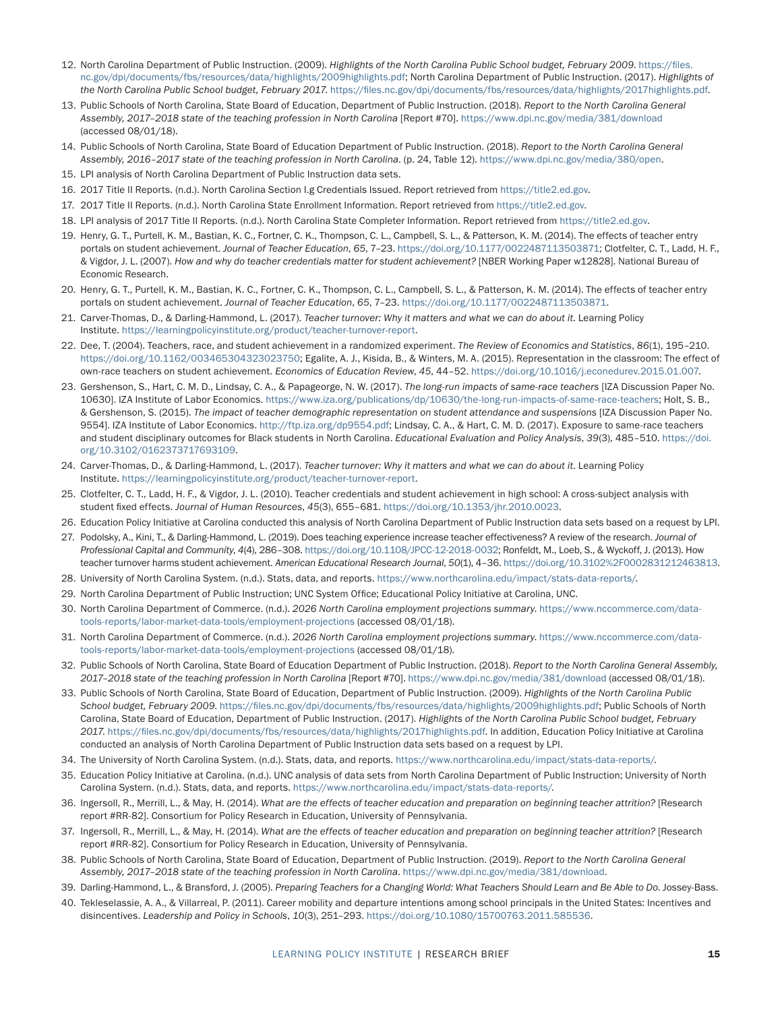- <span id="page-14-0"></span>[12.](#page-2-0) North Carolina Department of Public Instruction. (2009). *Highlights of the North Carolina Public School budget, February 2009*. [https://files.](https://files.nc.gov/dpi/documents/fbs/resources/data/highlights/2009highlights.pdf) [nc.gov/dpi/documents/fbs/resources/data/highlights/2009highlights.pdf](https://files.nc.gov/dpi/documents/fbs/resources/data/highlights/2009highlights.pdf); North Carolina Department of Public Instruction. (2017). *Highlights of the North Carolina Public School budget, February 2017*. <https://files.nc.gov/dpi/documents/fbs/resources/data/highlights/2017highlights.pdf>.
- [13.](#page-3-1) Public Schools of North Carolina, State Board of Education, Department of Public Instruction. (2018). *Report to the North Carolina General Assembly, 2017–2018 state of the teaching profession in North Carolina* [Report #70].<https://www.dpi.nc.gov/media/381/download> (accessed 08/01/18).
- [14](#page-3-1). Public Schools of North Carolina, State Board of Education Department of Public Instruction. (2018). *Report to the North Carolina General Assembly, 2016–2017 state of the teaching profession in North Carolina*. (p. 24, Table 12). [https://www.dpi.nc.gov/media/380/open.](https://www.dpi.nc.gov/media/380/open)
- [15](#page-3-1). LPI analysis of North Carolina Department of Public Instruction data sets.
- [16](#page-3-1). 2017 Title II Reports. (n.d.). North Carolina Section I.g Credentials Issued. Report retrieved from [https://title2.ed.gov.](https://title2.ed.gov)
- [17](#page-3-1). 2017 Title II Reports. (n.d.). North Carolina State Enrollment Information. Report retrieved from [https://title2.ed.gov.](https://title2.ed.gov)
- [18.](#page-3-1) LPI analysis of 2017 Title II Reports. (n.d.). North Carolina State Completer Information. Report retrieved from [https://title2.ed.gov.](https://title2.ed.gov)
- [19](#page-4-1). Henry, G. T., Purtell, K. M., Bastian, K. C., Fortner, C. K., Thompson, C. L., Campbell, S. L., & Patterson, K. M. (2014). The effects of teacher entry portals on student achievement. *Journal of Teacher Education*, 65, 7-23. [https://doi.org/10.1177/0022487113503871;](https://doi.org/10.1177/0022487113503871) Clotfelter, C. T., Ladd, H. F., & Vigdor, J. L. (2007). *How and why do teacher credentials matter for student achievement?* [NBER Working Paper w12828]. National Bureau of Economic Research.
- [20](#page-4-1). Henry, G. T., Purtell, K. M., Bastian, K. C., Fortner, C. K., Thompson, C. L., Campbell, S. L., & Patterson, K. M. (2014). The effects of teacher entry portals on student achievement. *Journal of Teacher Education*, *65*, 7–23. <https://doi.org/10.1177/0022487113503871>.
- [21](#page-4-1). Carver-Thomas, D., & Darling-Hammond, L. (2017). *Teacher turnover: Why it matters and what we can do about it*. Learning Policy Institute. <https://learningpolicyinstitute.org/product/teacher-turnover-report>.
- [22](#page-4-1). Dee, T. (2004). Teachers, race, and student achievement in a randomized experiment. *The Review of Economics and Statistics*, *86*(1), 195–210. <https://doi.org/10.1162/003465304323023750>; Egalite, A. J., Kisida, B., & Winters, M. A. (2015). Representation in the classroom: The effect of own-race teachers on student achievement. *Economics of Education Review*, *45*, 44–52.<https://doi.org/10.1016/j.econedurev.2015.01.007>.
- [23](#page-4-1). Gershenson, S., Hart, C. M. D., Lindsay, C. A., & Papageorge, N. W. (2017). *The long-run impacts of same-race teachers* [IZA Discussion Paper No. 10630]. IZA Institute of Labor Economics.<https://www.iza.org/publications/dp/10630/the-long-run-impacts-of-same-race-teachers>; Holt, S. B., & Gershenson, S. (2015). *The impact of teacher demographic representation on student attendance and suspensions* [IZA Discussion Paper No. 9554]. IZA Institute of Labor Economics. [http://ftp.iza.org/dp9554.pdf;](http://ftp.iza.org/dp9554.pdf) Lindsay, C. A., & Hart, C. M. D. (2017). Exposure to same-race teachers and student disciplinary outcomes for Black students in North Carolina. *Educational Evaluation and Policy Analysis*, *39*(3), 485–510. [https://doi.](https://doi.org/10.3102%2F0162373717693109) [org/10.3102/0162373717693109](https://doi.org/10.3102%2F0162373717693109).
- [24](#page-4-1). Carver-Thomas, D., & Darling-Hammond, L. (2017). *Teacher turnover: Why it matters and what we can do about it*. Learning Policy Institute. <https://learningpolicyinstitute.org/product/teacher-turnover-report>.
- [25](#page-5-1). Clotfelter, C. T., Ladd, H. F., & Vigdor, J. L. (2010). Teacher credentials and student achievement in high school: A cross-subject analysis with student fixed effects. *Journal of Human Resources*, *45*(3), 655–681. [https://doi.org/10.1353/jhr.2010.0023.](https://doi.org/10.1353/jhr.2010.0023)
- [26](#page-5-1). Education Policy Initiative at Carolina conducted this analysis of North Carolina Department of Public Instruction data sets based on a request by LPI.
- [27.](#page-5-1) Podolsky, A., Kini, T., & Darling-Hammond, L. (2019). Does teaching experience increase teacher effectiveness? A review of the research. *Journal of Professional Capital and Community*, *4*(4), 286–308.<https://doi.org/10.1108/JPCC-12-2018-0032>; Ronfeldt, M., Loeb, S., & Wyckoff, J. (2013). How teacher turnover harms student achievement. *American Educational Research Journal*, *50*(1), 4–36.<https://doi.org/10.3102%2F0002831212463813>.
- [28.](#page-5-1) University of North Carolina System. (n.d.). Stats, data, and reports. [https://www.northcarolina.edu/impact/stats-data-reports/.](https://www.northcarolina.edu/impact/stats-data-reports/)
- [29](#page-5-1). North Carolina Department of Public Instruction; UNC System Office; Educational Policy Initiative at Carolina, UNC.
- [30](#page-6-1). North Carolina Department of Commerce. (n.d.). *2026 North Carolina employment projections summary*. [https://www.nccommerce.com/data](https://www.nccommerce.com/data-tools-reports/labor-market-data-tools/employment-projections)[tools-reports/labor-market-data-tools/employment-projections](https://www.nccommerce.com/data-tools-reports/labor-market-data-tools/employment-projections) (accessed 08/01/18).
- [31](#page-6-1). North Carolina Department of Commerce. (n.d.). *2026 North Carolina employment projections summary*. [https://www.nccommerce.com/data](https://www.nccommerce.com/data-tools-reports/labor-market-data-tools/employment-projections)[tools-reports/labor-market-data-tools/employment-projections](https://www.nccommerce.com/data-tools-reports/labor-market-data-tools/employment-projections) (accessed 08/01/18).
- [32](#page-6-1). Public Schools of North Carolina, State Board of Education Department of Public Instruction. (2018). *Report to the North Carolina General Assembly, 2017–2018 state of the teaching profession in North Carolina* [Report #70]. <https://www.dpi.nc.gov/media/381/download> (accessed 08/01/18).
- [33.](#page-7-0) Public Schools of North Carolina, State Board of Education, Department of Public Instruction. (2009). *Highlights of the North Carolina Public School budget, February 2009*.<https://files.nc.gov/dpi/documents/fbs/resources/data/highlights/2009highlights.pdf>; Public Schools of North Carolina, State Board of Education, Department of Public Instruction. (2017). *Highlights of the North Carolina Public School budget, February 2017*.<https://files.nc.gov/dpi/documents/fbs/resources/data/highlights/2017highlights.pdf>. In addition, Education Policy Initiative at Carolina conducted an analysis of North Carolina Department of Public Instruction data sets based on a request by LPI.
- [34.](#page-7-0) The University of North Carolina System. (n.d.). Stats, data, and reports. <https://www.northcarolina.edu/impact/stats-data-reports/>.
- [35.](#page-7-0) Education Policy Initiative at Carolina. (n.d.). UNC analysis of data sets from North Carolina Department of Public Instruction; University of North Carolina System. (n.d.). Stats, data, and reports. <https://www.northcarolina.edu/impact/stats-data-reports/>.
- [36.](#page-7-0) Ingersoll, R., Merrill, L., & May, H. (2014). *What are the effects of teacher education and preparation on beginning teacher attrition?* [Research report #RR-82]. Consortium for Policy Research in Education, University of Pennsylvania.
- [37.](#page-7-0) Ingersoll, R., Merrill, L., & May, H. (2014). *What are the effects of teacher education and preparation on beginning teacher attrition?* [Research report #RR-82]. Consortium for Policy Research in Education, University of Pennsylvania.
- [38.](#page-7-0) Public Schools of North Carolina, State Board of Education, Department of Public Instruction. (2019). *Report to the North Carolina General Assembly, 2017–2018 state of the teaching profession in North Carolina*. [https://www.dpi.nc.gov/media/381/download.](https://www.dpi.nc.gov/media/381/download)
- [39](#page-8-0). Darling-Hammond, L., & Bransford, J. (2005). *Preparing Teachers for a Changing World: What Teachers Should Learn and Be Able to Do*. Jossey-Bass.
- [40](#page-8-0). Tekleselassie, A. A., & Villarreal, P. (2011). Career mobility and departure intentions among school principals in the United States: Incentives and disincentives. *Leadership and Policy in Schools*, *10*(3), 251–293.<https://doi.org/10.1080/15700763.2011.585536>.